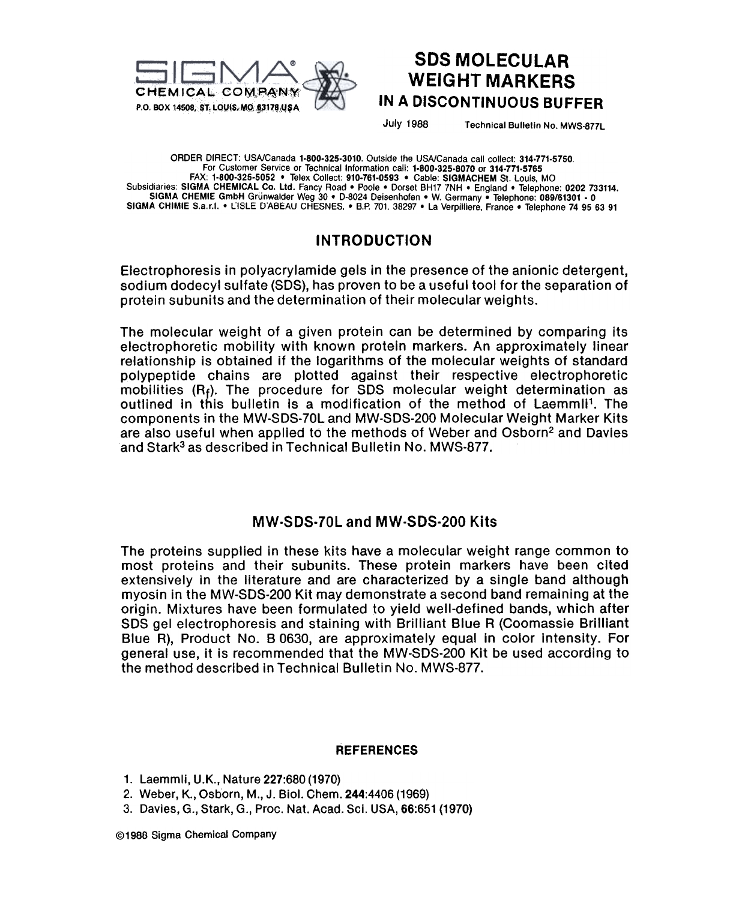

## SDS MOLECULAR WEIGHT MARKERS IN A DISCONTINUOUS BUFFER

July 1988 Technical Bulletin No. MWS-877L

ORDER DIRECT: USA/Canada 1.800.325.3010. Outside the USA/Canada call collect: 314.771.5750, For Customer Service or Technical Information call: 1.800.325.8070 or 314.771.5765 FAX: 1-800-325-5052 . Telex Collect: 910-761-0593 . Cable: SIGMACHEM St. Louis, MO Subsidiaries: SIGMA CHEMICAL Co. Ltd. Fancy Road • Poole • Dorset BH17 7NH • England • Telephone: 0202 733114.<br>SIGMA CHEMIE GmbH Grünwalder Weg 30 • D-8024 Deisenhofen • W. Germany • Telephone: 089/61301 - 0<br>SIGMA CHIMIE S

## INTRODUCTION

Electrophoresis in polyacrylamide gels in the presence of the anionic detergent, sodium dodecyl sulfate (SDS}, has proven to be a useful tool for the separation of protein subunits and the determination of their molecular weights.

The molecular weight of a given protein can be determined by comparing its electrophoretic mobility with known protein markers. An approximately linear relationship is obtained if the logarithms of the molecular weights of standard polypeptide chains are plotted against their respective electrophoretic mobilities  $(R_f)$ . The procedure for SDS molecular weight determination as outlined in this bulletin is a modification of the method of Laemmli1. The components in the MW-SDS-70L and MW-SDS-200 Molecular Weight Marker Kits are also useful when applied to the methods of Weber and Osborn<sup>2</sup> and Davies and Stark<sup>3</sup> as described in Technical Bulletin No. MWS-877.

#### MW.SDS.70L and MW-SDS.200 Kits

The proteins supplied in these kits have a molecular weight range common to most proteins and their subunits. These protein markers have been cited extensively in the literature and are characterized by a single band although myosin in the MW-SDS-200 Kit may demonstrate a second band remaining at the origin. Mixtures have been formulated to yield well-defined bands, which after SDS gel electrophoresis and staining with Brilliant Blue R (Coomassie Brilliant Blue R), Product No. B 0630, are approximately equal in color intensity. For general use, it is recommended that the MW-SDS-200 Kit be used according to the method described in Technical Bulletin No. MWS-877.

#### REFERENCES

- 1. Laemmli, U.K., Nature 227:680 (1970)
- 2. Weber, K., Osborn, M., J. Bioi. Chem. 244:4406 (1969)
- 3. Davies, G., Stark, G., Proc. Nat. Acad. Sci. USA, 66:651 (1970)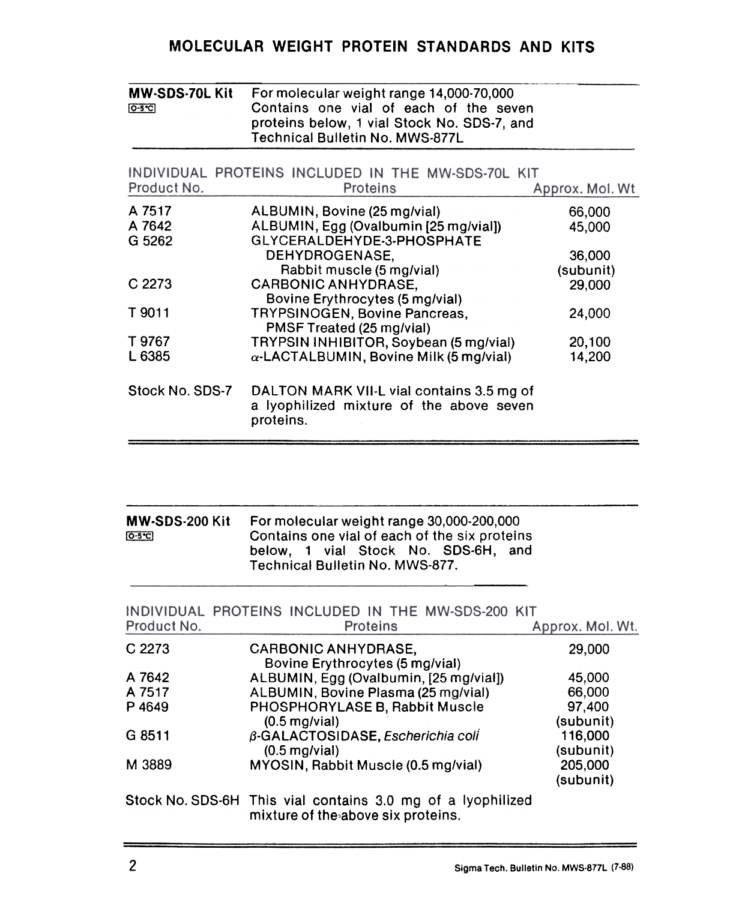# MOLECULAR WEIGHT PROTEIN STANDARDS AND KITS

| <b>MW-SDS-70L Kit</b><br>[0.5C] | For molecular weight range 14,000-70,000<br>Contains one vial of each of the seven<br>proteins below, 1 vial Stock No. SDS-7, and |                  |
|---------------------------------|-----------------------------------------------------------------------------------------------------------------------------------|------------------|
|                                 | <b>Technical Bulletin No. MWS-877L</b>                                                                                            |                  |
|                                 | INDIVIDUAL PROTEINS INCLUDED IN THE MW-SDS-70L KIT                                                                                |                  |
| Product No.                     | Proteins                                                                                                                          | Approx. Mol. Wt. |
| A 7517                          | ALBUMIN, Bovine (25 mg/vial)                                                                                                      | 66,000           |
| A 7642                          | ALBUMIN, Egg (Ovalbumin [25 mg/vial])                                                                                             | 45,000           |
| G 5262                          | GLYCERALDEHYDE-3-PHOSPHATE                                                                                                        |                  |
|                                 | DEHYDROGENASE,                                                                                                                    | 36,000           |
|                                 | Rabbit muscle (5 mg/vial)                                                                                                         | (subunit)        |
| C 2273                          | <b>CARBONIC ANHYDRASE,</b>                                                                                                        | 29,000           |
|                                 | Bovine Erythrocytes (5 mg/vial)                                                                                                   |                  |
| T 9011                          | TRYPSINOGEN, Bovine Pancreas,                                                                                                     | 24,000           |
|                                 | PMSF Treated (25 mg/vial)                                                                                                         |                  |
| T 9767                          | TRYPSIN INHIBITOR, Soybean (5 mg/vial)                                                                                            | 20,100           |
| L 6385                          | $\alpha$ -LACTALBUMIN, Bovine Milk (5 mg/vial)                                                                                    | 14,200           |
| Stock No. SDS-7                 |                                                                                                                                   |                  |
|                                 | DALTON MARK VII-L vial contains 3.5 mg of<br>a lyophilized mixture of the above seven<br>proteins.                                |                  |

| <b>MW-SDS-200 Kit</b> | For molecular weight range 30,000-200,000                                            |  |  |
|-----------------------|--------------------------------------------------------------------------------------|--|--|
| $O-5^{\circ}C$        | Contains one vial of each of the six proteins<br>below, 1 vial Stock No. SDS-6H, and |  |  |
|                       | Technical Bulletin No. MWS-877.                                                      |  |  |

| Product No. | INDIVIDUAL PROTEINS INCLUDED IN THE MW-SDS-200 KIT<br>Proteins                                    | Approx. Mol. Wt.     |
|-------------|---------------------------------------------------------------------------------------------------|----------------------|
| C 2273      | <b>CARBONIC ANHYDRASE,</b><br>Bovine Erythrocytes (5 mg/vial)                                     | 29,000               |
| A 7642      | ALBUMIN, Egg (Ovalbumin, [25 mg/vial])                                                            | 45,000               |
| A 7517      | ALBUMIN, Bovine Plasma (25 mg/vial)                                                               | 66,000               |
| P 4649      | PHOSPHORYLASE B, Rabbit Muscle<br>$(0.5 \text{ m}g/\text{vial})$                                  | 97,400<br>(subunit)  |
| G 8511      | β-GALACTOSIDASE, Escherichia coli<br>$(0.5 \text{ m}g/\text{vial})$                               | 116,000<br>(subunit) |
| M 3889      | MYOSIN, Rabbit Muscle (0.5 mg/vial)                                                               | 205,000<br>(subunit) |
|             | Stock No. SDS-6H This vial contains 3.0 mg of a lyophilized<br>mixture of the above six proteins. |                      |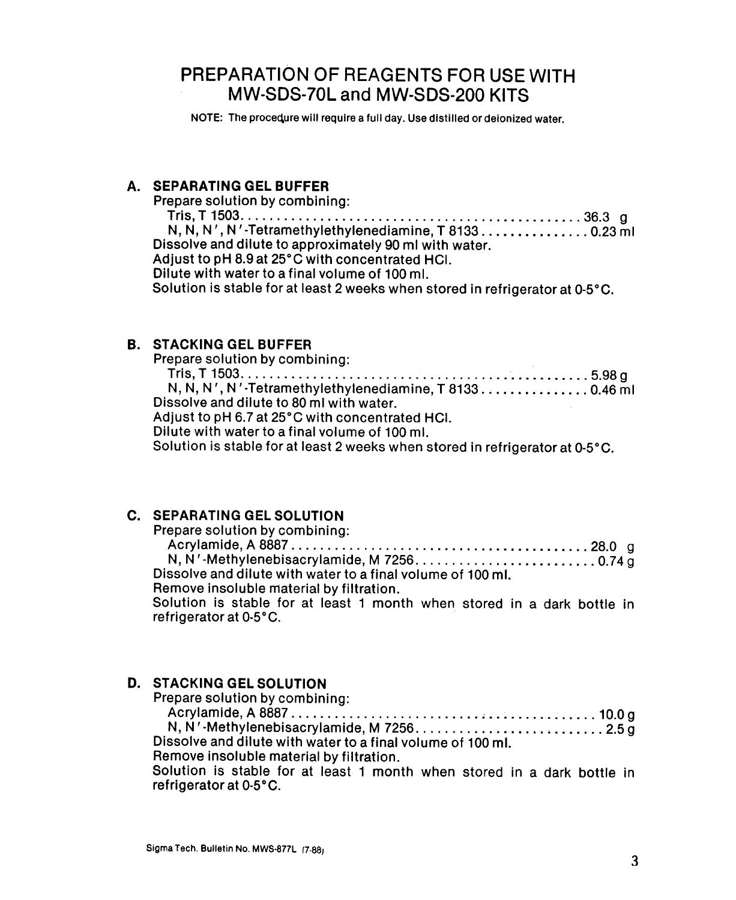# PREPARATION OF REAGENTS FOR USE WITH MW-SDS-70L and MW-SDS-200 KITS

NOTE: The procequre will require a full day. Use distilled or deionized water.

## A. SEPARATING GEL BUFFER

Prepare solution by combining:

Tris,T1503 36.3 g  $N, N, N', N'$ -Tetramethylethylenediamine, T 8133.  $\dots$ .  $\dots$ .  $\dots$ . 0.23 ml Dissolve and dilute to approximately 90 ml with water. Adjust to pH 8.9 at 25°C with concentrated HCI. Dilute with water to a final volume of 100 ml. Solution is stable for at least 2 weeks when stored in refrigerator at 0-5°C.

#### B. STACKING GEL BUFFER

Prepare solution by combining: Tris,T1503 5.98g N, N, N " N '-Tetramethylethylenediamine, T 8133. 0.46 ml Dissolve and dilute to 80 ml with water. Adjust to pH 6.7 at 25°C with concentrated HCI. Dilute with water to a final volume of 100 ml. Solution is stable for at least 2 weeks when stored in refrigerator at 0-5°C.

#### c. SEPARATING GEL SOLUTION

| Prepare solution by combining:                                          |  |
|-------------------------------------------------------------------------|--|
|                                                                         |  |
|                                                                         |  |
| Dissolve and dilute with water to a final volume of 100 ml.             |  |
| Remove insoluble material by filtration.                                |  |
| Solution is stable for at least 1 month when stored in a dark bottle in |  |

Solution is stable for at least 1 month when stored in a dark bottle in refrigerator at 0-5°C.

## D. STACKING GEL SOLUTION

Prepare solution by combining: Acrylamide,A8887 ~ 10.0g N, N'-Methylenebisacrylamide, M 7256.  $\dots \dots \dots \dots \dots \dots \dots \dots \dots \dots$ 2.5 g Dissolve and dilute with water to a final volume of 100 ml. Remove insoluble material by filtration. Solution is stable for at least 1 month when stored in a dark bottle in

refrigerator at 0-5°C.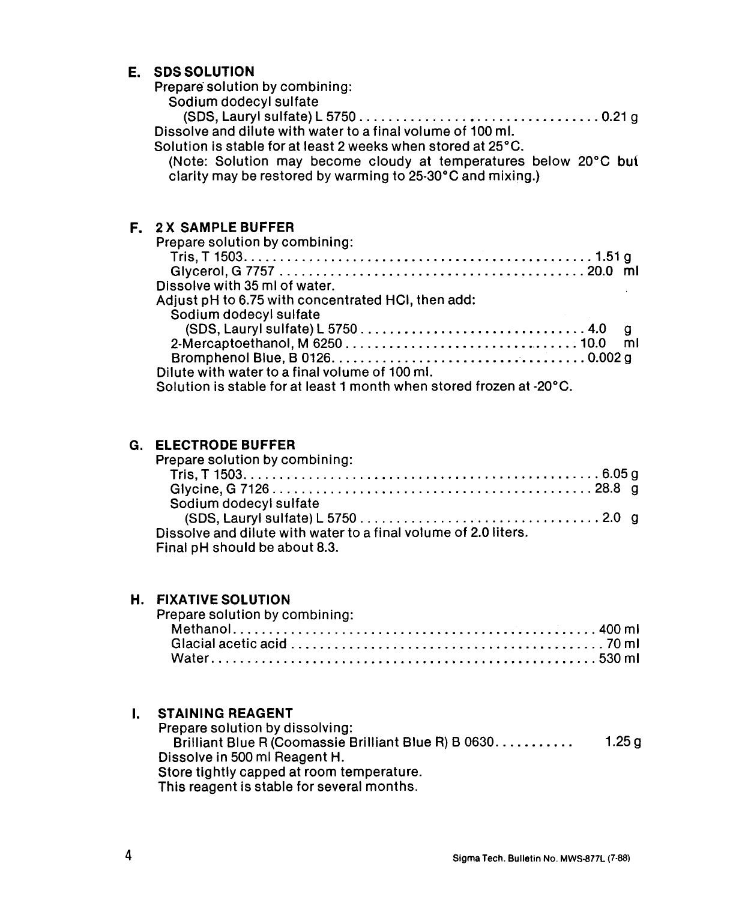#### E. SDS SOLUTION

Prepare solution by combining:

Sodium dodecyl sulfate

(SDS,Laurylsulfate)L5750 0.21g Dissolve and dilute with water to a final volume of 100 ml.

Solution is stable for at least 2 weeks when stored at 25°C.

(Note: Solution may become cloudy at temperatures below 20°C but clarity may be restored by warming to 25-30°C and mixing.)

## F. 2 X SAMPLE BUFFER

| Prepare solution by combining:                                       |  |
|----------------------------------------------------------------------|--|
|                                                                      |  |
|                                                                      |  |
| Dissolve with 35 ml of water.                                        |  |
| Adjust pH to 6.75 with concentrated HCI, then add:                   |  |
| Sodium dodecyl sulfate                                               |  |
|                                                                      |  |
|                                                                      |  |
|                                                                      |  |
| Dilute with water to a final volume of 100 ml.                       |  |
| Solution is stable for at least 1 month when stored frozen at -20°C. |  |

### G. ELECTRODEBUFFER

| Prepare solution by combining:                                  |  |  |
|-----------------------------------------------------------------|--|--|
|                                                                 |  |  |
|                                                                 |  |  |
| Sodium dodecyl sulfate                                          |  |  |
|                                                                 |  |  |
| Dissolve and dilute with water to a final volume of 2.0 liters. |  |  |
| Final pH should be about 8.3.                                   |  |  |
|                                                                 |  |  |

#### H. FIXATIVE SOLUTION

| Prepare solution by combining: |  |
|--------------------------------|--|
|                                |  |
|                                |  |
|                                |  |

#### I. JIMINING REF

Prepare solution by dissolving:  $\mathsf{Brilliant}$  Blue R (Coomassie Brilliant Blue R) B 0630.  $\dots\dots\dots\qquad\qquad$  1.25 Dissolve in 500 ml Reagent H. Store tightly capped at room temperature. This reagent is stable for several months.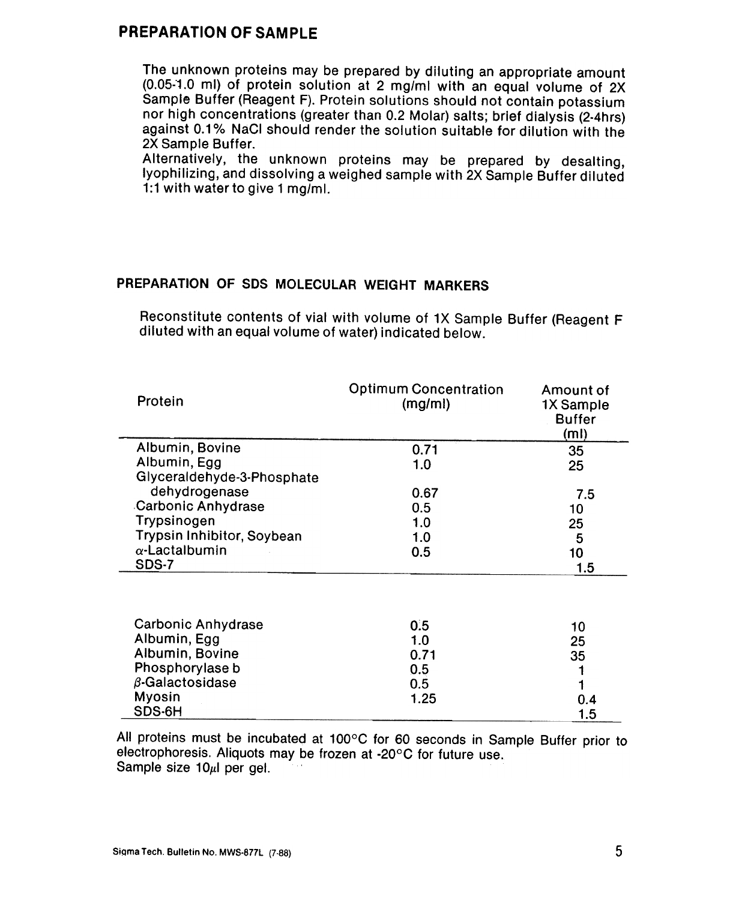## PREPARATION OF SAMPLE

The unknown proteins may be prepared by diluting an appropriate amount (0.05:1.0 ml) of protein solution at 2 mg/ml with an equal volume of 2X Sample Buffer (Reagent F). Protein solutions should not contain potassium nor high concentrations (greater than 0.2 Molar) salts; brief dialysis (2-4hrs) against 0.1% NaCI should render the solution suitable for dilution with the 2X Sample Buffer.

Alternatively, the unknown proteins may be prepared by desalting, lyophilizing, and dissolving a weighed sample with 2X Sample Buffer diluted 1:1 with water to give 1 mg/ml.

### PREPARATION OF SDS MOLECULAR WEIGHT MARKERS

Reconstitute contents of vial with volume of 1X Sample Buffer (Reagent F diluted with an equal volume of water) indicated below.

| <b>Optimum Concentration</b><br>(mg/ml) | Amount of<br>1X Sample<br><b>Buffer</b><br>(ml) |
|-----------------------------------------|-------------------------------------------------|
| 0.71                                    | 35                                              |
| 1.0                                     | 25                                              |
|                                         |                                                 |
| 0.67                                    | 7.5                                             |
| 0.5                                     | 10                                              |
| 1.0                                     | 25                                              |
| 1.0                                     | 5                                               |
| 0.5                                     | 10                                              |
|                                         | 1.5                                             |
|                                         |                                                 |
|                                         | 10<br>へに                                        |
|                                         | 0.5<br>1 በ                                      |

| Albumin, Edd           | 1.0  | 25  |
|------------------------|------|-----|
| Albumin, Bovine        | 0.71 | 35  |
| Phosphorylase b        | 0.5  |     |
| $\beta$ -Galactosidase | 0.5  |     |
| Myosin                 | 1.25 | 0.4 |
| SDS-6H                 |      | 1.5 |

All proteins must be incubated at 100°C for 60 seconds in Sample Buffer prior to electrophoresis. Aliquots may be frozen at -20 $\degree$ C for future use. Sample size 10 $\mu$ I per gel.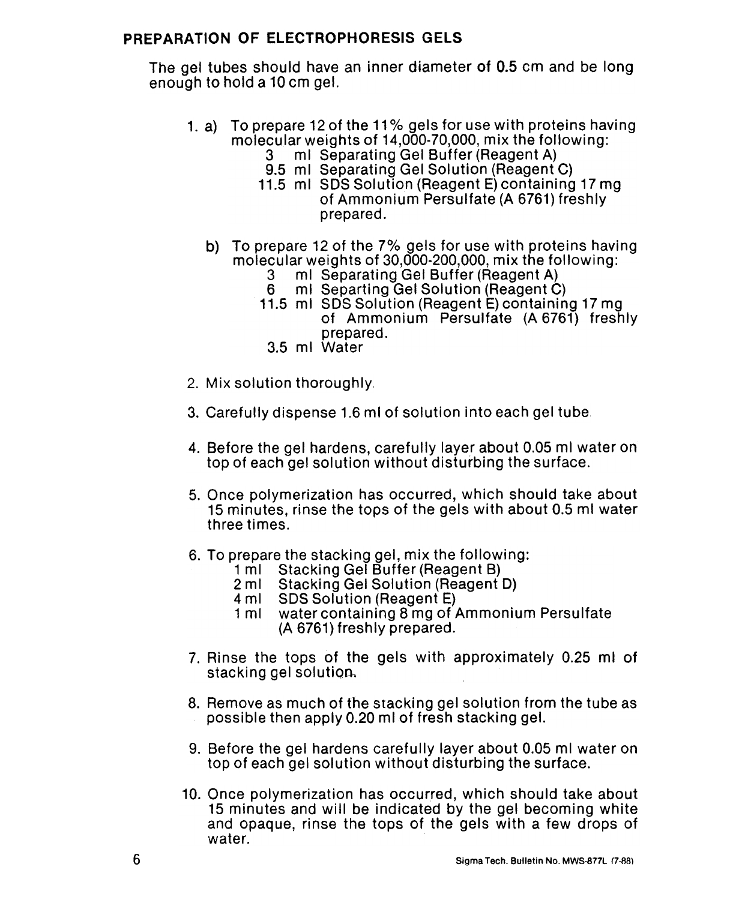## PREPARATION OF ELECTROPHORESIS GELS

The gel tubes should have an inner diameter of 0.5 cm and be long enough to hold a 10 cm gel.

- 1. a) To prepare 12 of the 11% gels for use with proteins having molecular weights of 14,000-70,000, mix the following:
	- ml Separating Gel Buffer (Reagent A)
	- 9.5 ml Separating Gel Solution (Reagent C)
	- 11.5 ml SDS Solution (Reagent E) containing 17 mg of Ammonium Persulfate (A 6761) freshly prepared.
	- b) To prepare 12 of the 7% gels for use with proteins having molecular weights of 30,000-200,000, mix the following:
		- 3 ml Separating Gel Buffer (Reagent A)
		- 6 ml Separting Gel Solution (Reagent C)
		- 11.5 ml SDS Solution (Reagent E) containing 17 mg of Ammonium Persulfate (A 6761) freshly prepared.
			- 3.5 ml Water
- 2. Mix solution thoroughly,
- 3. Carefully dispense 1.6 ml of solution into each gel tube
- 4. Before the gel hardens, carefully layer about 0.05 ml water on top of each gel solution without disturbing the surface.
- 5. Once polymerization has occurred, which should take about 15 minutes, rinse the tops of the gels with about 0.5 ml water three times.
- 6. To prepare the stacking gel, mix the following:
	- 1 ml = Stacking Gel Buffer (Reagent B)<br>2 ml = Stacking Gel Solution (Reagent I
	- Stacking Gel Solution (Reagent D)
	- 4 ml SDS Solution (Reagent E)
	- 1 ml water containing 8 mg of Ammonium Persulfate (A 6761) freshly prepared.
- 7. Rinse the tops of the gels with approximately 0.25 mi of stacking gel solution.
- 8. Remove as much of the stacking gel solution from the tube as possible then apply 0.20 ml of fresh stacking gel.
- 9. Before the gel hardens carefully layer about 0.05 ml water on top of each gel solution without disturbing the surface.
- 10. Once polymerization has occurred, which should take about 15 minutes and will be indicated by the gel becoming white and opaque, rinse the tops of the gels with a few drops of water.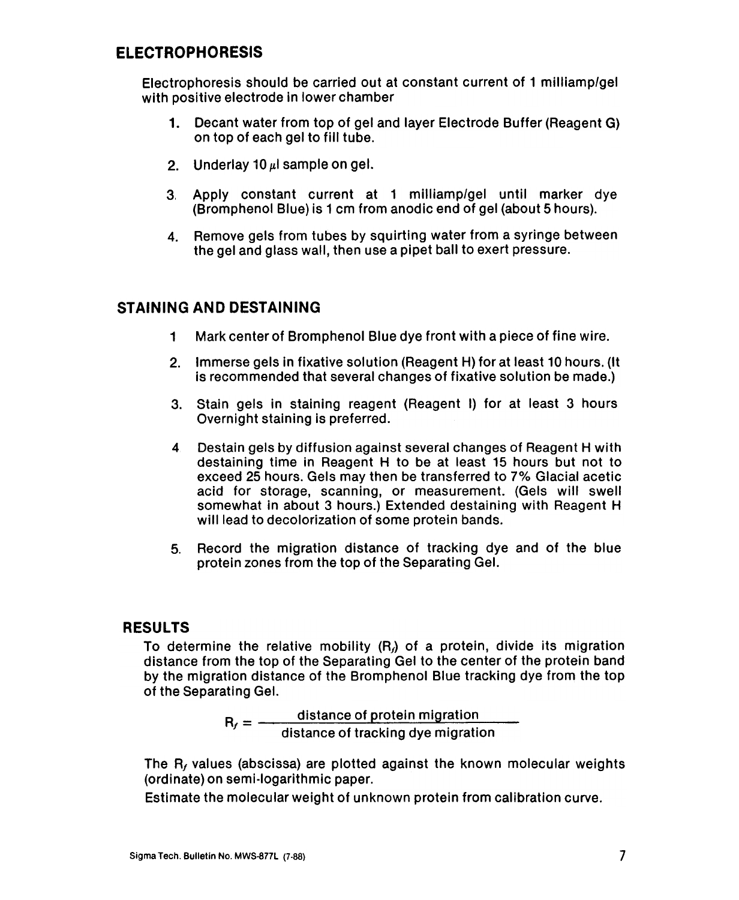## ELECTROPHORESIS

Electrophoresis should be carried out at constant current of 1 milliamp/gel with positive electrode in lower chamber

- 1. Decant water from top of gel and layer Electrode Buffer (Reagent G) on top of each gel to fill tube.
- 2. Underlay 10  $\mu$ l sample on gel.
- 3. Apply constant current at 1 milliamp/gel until marker dye (Bromphenol Blue) is 1 cm from anodic end of gel (about 5 hours).
- 4. Remove gels from tubes by squirting water from a syringe between the gel and glass wall, then use a pipet ball to exert pressure.

## STAINING AND DESTAINING

- 1 Mark center of Bromphenol Blue dye front with a piece of fine wire.
- 2. Immerse gels in fixative solution (Reagent H) for at least 10 hours. (It is recommended that several changes of fixative solution be made.)
- 3. Stain gels in staining reagent (Reagent I) for at least 3 hour Overnight staining is preferred.
- Destain gels by diffusion against several changes of Reagent H with destaining time in Reagent H to be at least 15 hours but not to exceed 25 hours. Gels may then be transferred to 7% Glacial acetic acid for storage, scanning, or measurement. (Gels will swell somewhat in about 3 hours.) Extended destaining with Reagent H will lead to decolorization of some protein bands. 4
- 5. Record the migration distance of tracking dye and of the blue protein zones from the top of the Separating Gel.

## **RESULTS**

To determine the relative mobility  $(R)$  of a protein, divide its migration distance from the top of the Separating Gel to the center of the protein band by the migration distance of the Bromphenol Blue tracking dye from the top of the Separating Gel.

> $\mathsf{p}_\mathsf{m} = \mathsf{q}$  -distance of protein migrat  $f =$  distance of tracking dye migration

The  $R<sub>f</sub>$  values (abscissa) are plotted against the known molecular weights (ordinate) on semi-Iogarithmic paper.

Estimate the molecular weight of unknown protein from calibration curve.